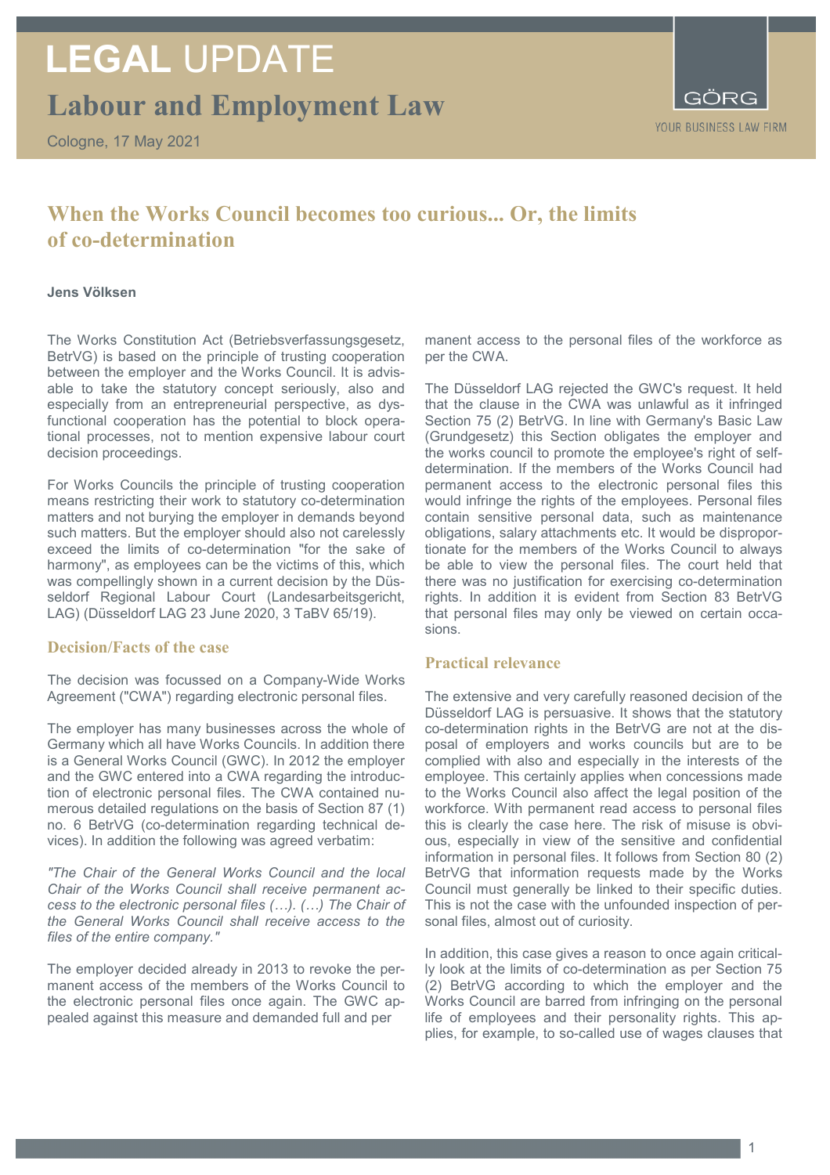# **LEGAL** UPDATE

**Labour and Employment Law**

Cologne, 17 May 2021

YOUR BUSINESS LAW FIRM

### **When the Works Council becomes too curious... Or, the limits of co-determination**

#### **Jens Völksen**

The Works Constitution Act (Betriebsverfassungsgesetz, BetrVG) is based on the principle of trusting cooperation between the employer and the Works Council. It is advisable to take the statutory concept seriously, also and especially from an entrepreneurial perspective, as dysfunctional cooperation has the potential to block operational processes, not to mention expensive labour court decision proceedings.

For Works Councils the principle of trusting cooperation means restricting their work to statutory co-determination matters and not burying the employer in demands beyond such matters. But the employer should also not carelessly exceed the limits of co-determination "for the sake of harmony", as employees can be the victims of this, which was compellingly shown in a current decision by the Düsseldorf Regional Labour Court (Landesarbeitsgericht, LAG) (Düsseldorf LAG 23 June 2020, 3 TaBV 65/19).

#### **Decision/Facts of the case**

The decision was focussed on a Company-Wide Works Agreement ("CWA") regarding electronic personal files.

The employer has many businesses across the whole of Germany which all have Works Councils. In addition there is a General Works Council (GWC). In 2012 the employer and the GWC entered into a CWA regarding the introduction of electronic personal files. The CWA contained numerous detailed regulations on the basis of Section 87 (1) no. 6 BetrVG (co-determination regarding technical devices). In addition the following was agreed verbatim:

*"The Chair of the General Works Council and the local Chair of the Works Council shall receive permanent access to the electronic personal files (…). (…) The Chair of the General Works Council shall receive access to the files of the entire company."*

The employer decided already in 2013 to revoke the permanent access of the members of the Works Council to the electronic personal files once again. The GWC appealed against this measure and demanded full and per

manent access to the personal files of the workforce as per the CWA.

The Düsseldorf LAG rejected the GWC's request. It held that the clause in the CWA was unlawful as it infringed Section 75 (2) BetrVG. In line with Germany's Basic Law (Grundgesetz) this Section obligates the employer and the works council to promote the employee's right of selfdetermination. If the members of the Works Council had permanent access to the electronic personal files this would infringe the rights of the employees. Personal files contain sensitive personal data, such as maintenance obligations, salary attachments etc. It would be disproportionate for the members of the Works Council to always be able to view the personal files. The court held that there was no justification for exercising co-determination rights. In addition it is evident from Section 83 BetrVG that personal files may only be viewed on certain occasions.

#### **Practical relevance**

The extensive and very carefully reasoned decision of the Düsseldorf LAG is persuasive. It shows that the statutory co-determination rights in the BetrVG are not at the disposal of employers and works councils but are to be complied with also and especially in the interests of the employee. This certainly applies when concessions made to the Works Council also affect the legal position of the workforce. With permanent read access to personal files this is clearly the case here. The risk of misuse is obvious, especially in view of the sensitive and confidential information in personal files. It follows from Section 80 (2) BetrVG that information requests made by the Works Council must generally be linked to their specific duties. This is not the case with the unfounded inspection of personal files, almost out of curiosity.

In addition, this case gives a reason to once again critically look at the limits of co-determination as per Section 75 (2) BetrVG according to which the employer and the Works Council are barred from infringing on the personal life of employees and their personality rights. This applies, for example, to so-called use of wages clauses that